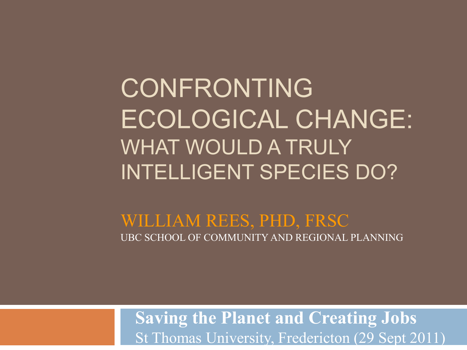CONFRONTING ECOLOGICAL CHANGE: WHAT WOULD A TRULY INTELLIGENT SPECIES DO?

WILLIAM REES, PHD, FRSC UBC SCHOOL OF COMMUNITY AND REGIONAL PLANNING

**Saving the Planet and Creating Jobs** St Thomas University, Fredericton (29 Sept 2011)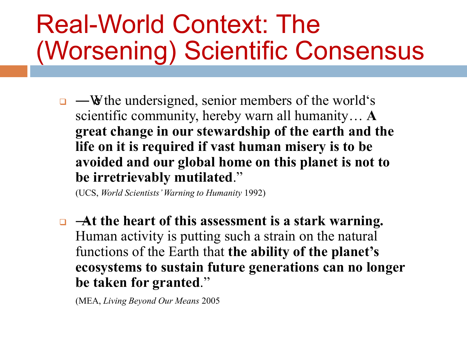### Real-World Context: The (Worsening) Scientific Consensus

 $\Box$  —We the undersigned, senior members of the world's scientific community, hereby warn all humanity… **A great change in our stewardship of the earth and the life on it is required if vast human misery is to be avoided and our global home on this planet is not to be irretrievably mutilated.**"

(UCS, *World Scientists' Warning to Humanity* 1992)

 ―**At the heart of this assessment is a stark warning.** Human activity is putting such a strain on the natural functions of the Earth that **the ability of the planet's ecosystems to sustain future generations can no longer be taken for granted.**"

(MEA, *Living Beyond Our Means* 2005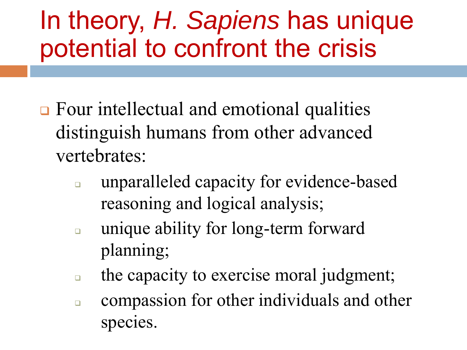## In theory, *H. Sapiens* has unique potential to confront the crisis

- **□** Four intellectual and emotional qualities distinguish humans from other advanced vertebrates:
	- **unparalleled capacity for evidence-based** reasoning and logical analysis;
	- **unique ability for long-term forward** planning;
	- $\Box$  the capacity to exercise moral judgment;
	- **compassion for other individuals and other** species.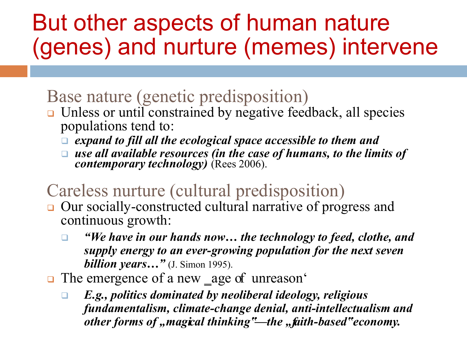#### But other aspects of human nature (genes) and nurture (memes) intervene

#### Base nature (genetic predisposition)

- □ Unless or until constrained by negative feedback, all species populations tend to:
	- *expand to fill all the ecological space accessible to them and*
	- □ use all available resources (in the case of humans, to the limits of *contemporary technology)* (Rees 2006).

#### Careless nurture (cultural predisposition)

- □ Our socially-constructed cultural narrative of progress and continuous growth:
	- *"We have in our hands now… the technology to feed, clothe, and supply energy to an ever-growing population for the next seven billion years…"* (J. Simon 1995).
- The emergence of a new \_age of unreason'
	- *E.g., politics dominated by neoliberal ideology, religious fundamentalism, climate-change denial, anti-intellectualism and other forms of , magical thinking"—the , faith-based" economy.*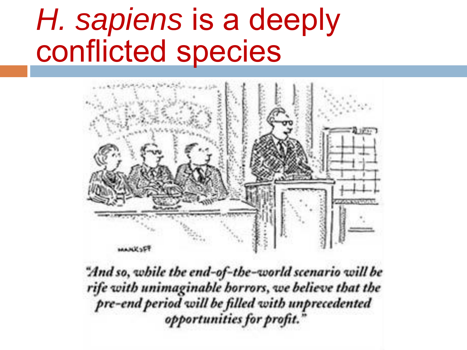## *H. sapiens* is a deeply conflicted species



"And so, while the end-of-the-world scenario will be rife with unimaginable horrors, we believe that the pre-end period will be filled with unprecedented opportunities for profit.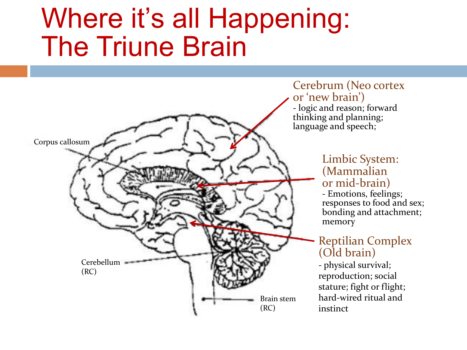## Where it's all Happening: The Triune Brain



Cerebrum (Neo cortex or 'new brain') - logic and reason; forward thinking and planning; language and speech;

#### Limbic System: (Mammalian or mid-brain)

- Emotions, feelings; responses to food and sex; bonding and attachment; memory

#### Reptilian Complex (Old brain)

- physical survival; reproduction; social stature; fight or flight; hard-wired ritual and instinct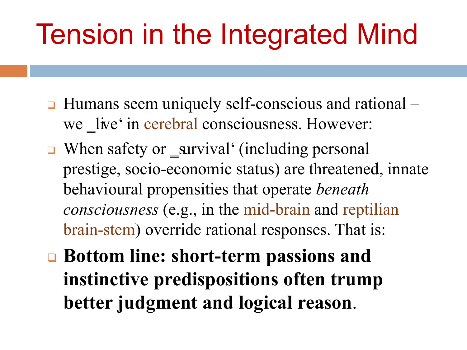## Tension in the Integrated Mind

- **□** Humans seem uniquely self-conscious and rational we live' in cerebral consciousness. However:
- When safety or \_survival' (including personal prestige, socio-economic status) are threatened, innate behavioural propensities that operate *beneath consciousness* (e.g., in the mid-brain and reptilian brain-stem) override rational responses. That is:
- **Bottom line: short-term passions and instinctive predispositions often trump better judgment and logical reason**.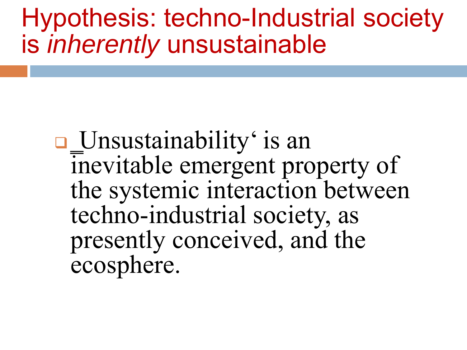Hypothesis: techno-Industrial society is *inherently* unsustainable

 ‗Unsustainability' is an inevitable emergent property of the systemic interaction between techno-industrial society, as presently conceived, and the ecosphere.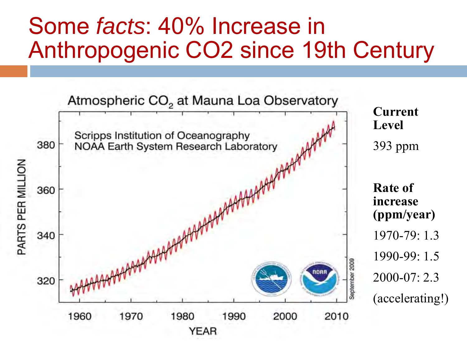#### Some *facts*: 40% Increase in Anthropogenic CO2 since 19th Century

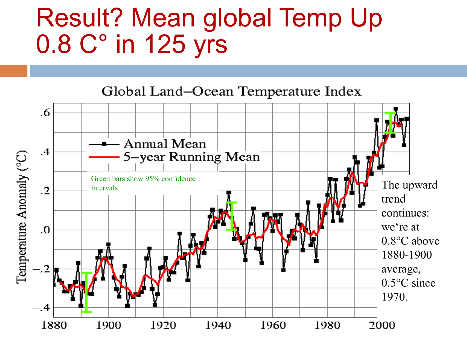#### Result? Mean global Temp Up 0.8 C° in 125 yrs

Global Land-Ocean Temperature Index

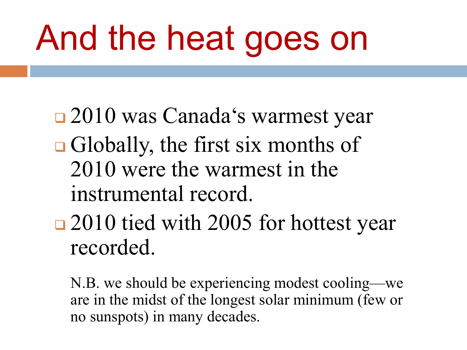# And the heat goes on

- 2010 was Canada's warmest year
- **Globally, the first six months of** 2010 were the warmest in the instrumental record.
- □ 2010 tied with 2005 for hottest year recorded.

 N.B. we should be experiencing modest cooling—we are in the midst of the longest solar minimum (few or no sunspots) in many decades.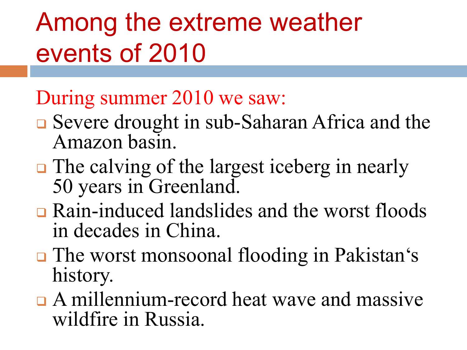## Among the extreme weather events of 2010

#### During summer 2010 we saw:

- **□** Severe drought in sub-Saharan Africa and the Amazon basin.
- **□** The calving of the largest iceberg in nearly 50 years in Greenland.
- Rain-induced landslides and the worst floods in decades in China.
- **The worst monsoonal flooding in Pakistan's** history.
- A millennium-record heat wave and massive wildfire in Russia.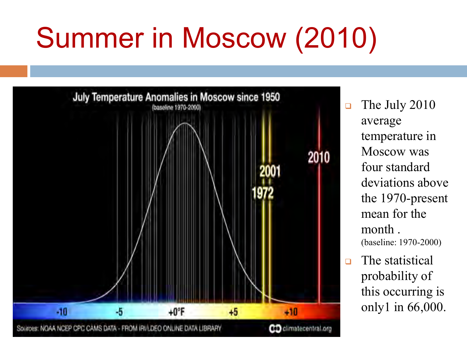# Summer in Moscow (2010)



- $\Box$  The July 2010 average temperature in Moscow was four standard deviations above the 1970-present mean for the month . (baseline: 1970-2000)
- **D** The statistical probability of this occurring is only1 in 66,000.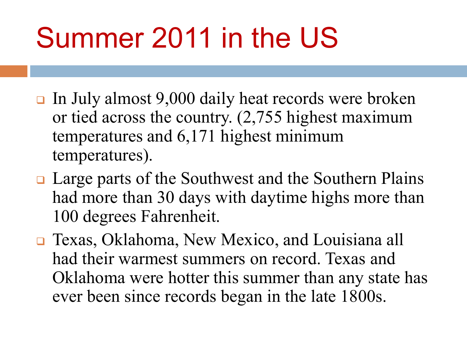## Summer 2011 in the US

- In July almost 9,000 daily heat records were broken or tied across the country. (2,755 highest maximum temperatures and 6,171 highest minimum temperatures).
- **□** Large parts of the Southwest and the Southern Plains had more than 30 days with daytime highs more than 100 degrees Fahrenheit.
- Texas, Oklahoma, New Mexico, and Louisiana all had their warmest summers on record. Texas and Oklahoma were hotter this summer than any state has ever been since records began in the late 1800s.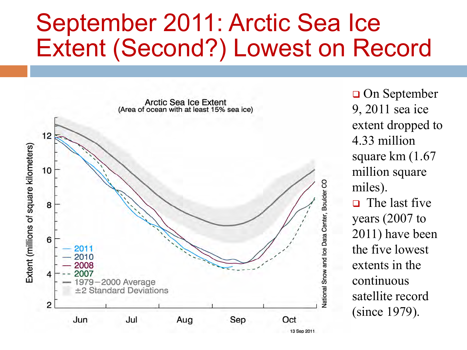#### September 2011: Arctic Sea Ice Extent (Second?) Lowest on Record



 On September 9, 2011 sea ice extent dropped to 4.33 million square km (1.67 million square miles).  $\Box$  The last five years (2007 to 2011) have been the five lowest extents in the continuous satellite record (since 1979).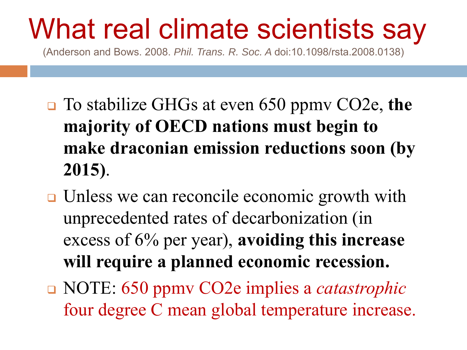## What real climate scientists say

(Anderson and Bows. 2008. *Phil. Trans. R. Soc. A* doi:10.1098/rsta.2008.0138)

- To stabilize GHGs at even 650 ppmv CO2e, **the majority of OECD nations must begin to make draconian emission reductions soon (by 2015)**.
- **□** Unless we can reconcile economic growth with unprecedented rates of decarbonization (in excess of 6% per year), **avoiding this increase will require a planned economic recession.**
- NOTE: 650 ppmv CO2e implies a *catastrophic* four degree C mean global temperature increase.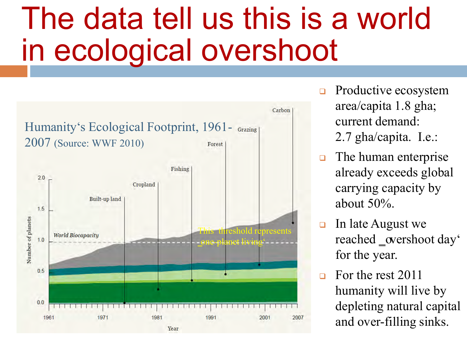## The data tell us this is a world in ecological overshoot



- $\Box$  Productive ecosystem area/capita 1.8 gha; current demand: 2.7 gha/capita. I.e.:
- $\Box$  The human enterprise already exceeds global carrying capacity by about 50%.
- $\Box$  In late August we reached \_overshoot day' for the year.
- $\Box$  For the rest 2011 humanity will live by depleting natural capital and over-filling sinks.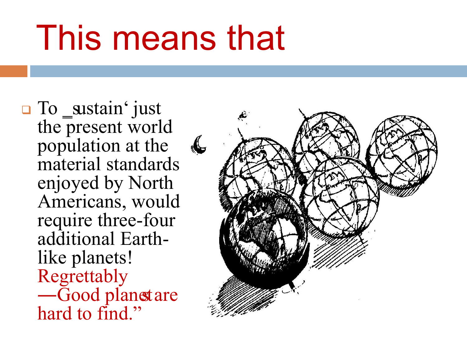# This means that

**O** To sustain' just the present world population at the material standards enjoyed by North Americans, would require three-four additional Earthlike planets! Regrettably —Good planet are hard to find."

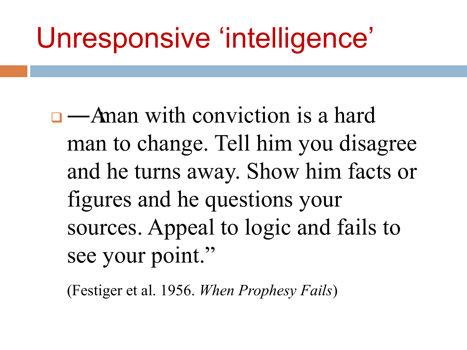## Unresponsive 'intelligence'

 $\Box$  — A man with conviction is a hard man to change. Tell him you disagree and he turns away. Show him facts or figures and he questions your sources. Appeal to logic and fails to see your point."

(Festiger et al. 1956. *When Prophesy Fails*)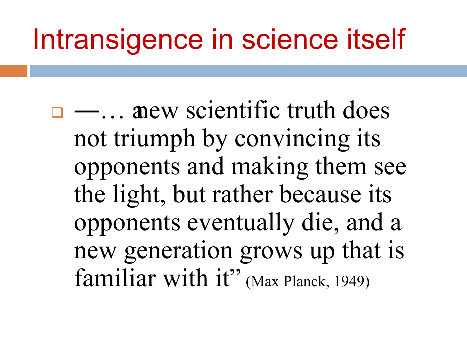## Intransigence in science itself

 $\Box$  —... anew scientific truth does not triumph by convincing its opponents and making them see the light, but rather because its opponents eventually die, and a new generation grows up that is familiar with it" (Max Planck, 1949)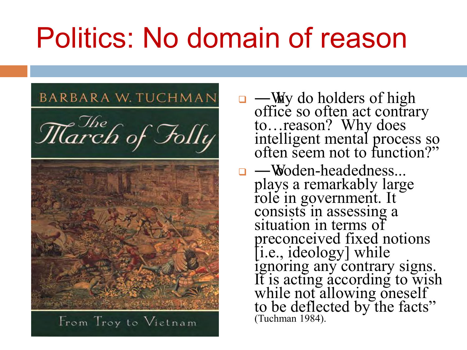## Politics: No domain of reason



- $\Box$  —Why do holders of high office so often act contrary to…reason? Why does intelligent mental process so often seem not to function?"
- □ <del>W</del>oden-headedness... plays a remarkably large role in government. It consists in assessing a situation in terms of preconceived fixed notions [i.e., ideology] while ignoring any contrary signs. It is acting according to wish while not allowing oneself to be deflected by the facts" (Tuchman 1984).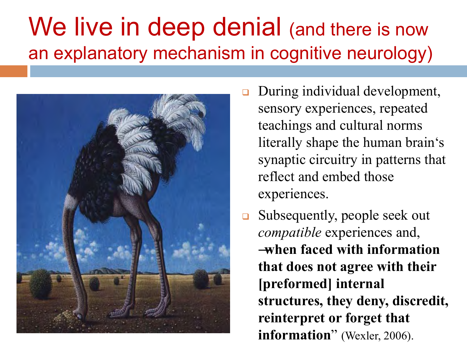#### We live in deep denial (and there is now an explanatory mechanism in cognitive neurology)



- During individual development, sensory experiences, repeated teachings and cultural norms literally shape the human brain's synaptic circuitry in patterns that reflect and embed those experiences.
- Subsequently, people seek out *compatible* experiences and, ―**when faced with information that does not agree with their [preformed] internal structures, they deny, discredit, reinterpret or forget that information**" (Wexler, 2006).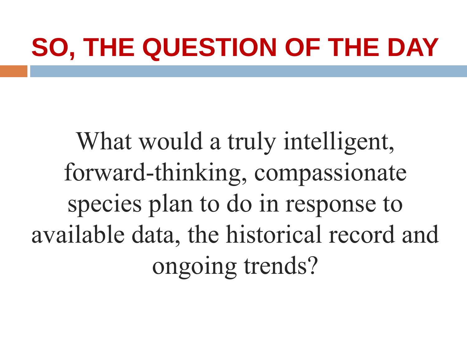## **SO, THE QUESTION OF THE DAY**

What would a truly intelligent, forward-thinking, compassionate species plan to do in response to available data, the historical record and ongoing trends?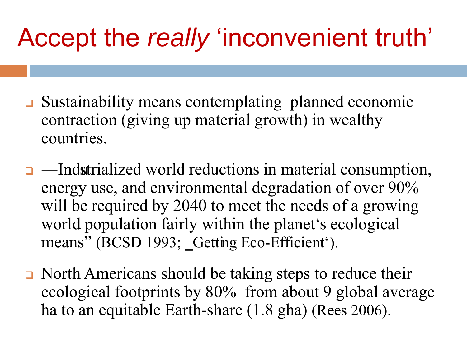## Accept the *really* 'inconvenient truth'

- **□** Sustainability means contemplating planned economic contraction (giving up material growth) in wealthy countries.
- $\Box$  —Indstrialized world reductions in material consumption, energy use, and environmental degradation of over 90% will be required by 2040 to meet the needs of a growing world population fairly within the planet's ecological means" (BCSD 1993; Getting Eco-Efficient').
- North Americans should be taking steps to reduce their ecological footprints by 80% from about 9 global average ha to an equitable Earth-share (1.8 gha) (Rees 2006).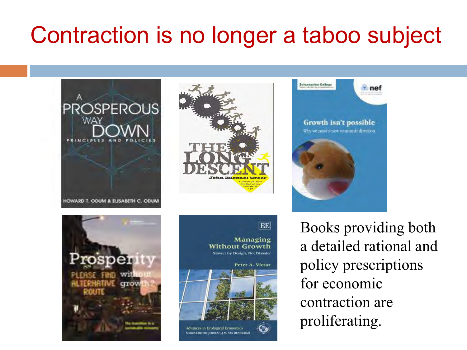#### Contraction is no longer a taboo subject



Books providing both a detailed rational and policy prescriptions for economic contraction are proliferating.



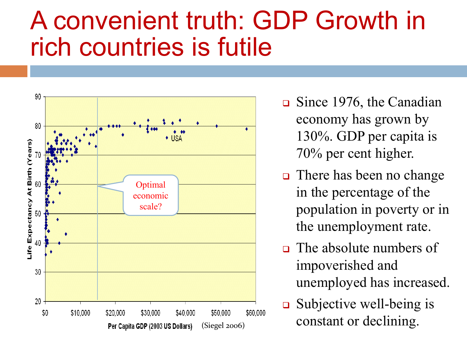#### A convenient truth: GDP Growth in rich countries is futile



- $\Box$  Since 1976, the Canadian economy has grown by 130%. GDP per capita is 70% per cent higher.
- $\Box$  There has been no change in the percentage of the population in poverty or in the unemployment rate.
- $\Box$  The absolute numbers of impoverished and unemployed has increased.
- $\Box$  Subjective well-being is  $$50,000$   $$60,000$   $$COMO$   $\rightarrow$   $[COMO]$   $[COMO]$   $[COMO]$   $[COMO]$   $[OMO]$   $[COMO]$   $[OMO]$   $[OMO]$   $[OMO]$   $[OMO]$   $[OMO]$   $[OMO]$   $[OMO]$   $[OMO]$   $[OMO]$   $[OMO]$   $[OMO]$   $[OMO]$   $[OMO]$   $[OMO]$   $[OMO]$   $[OMO]$   $[OMO]$   $[OMO]$   $[OMO]$   $[OMO]$   $[OMO]$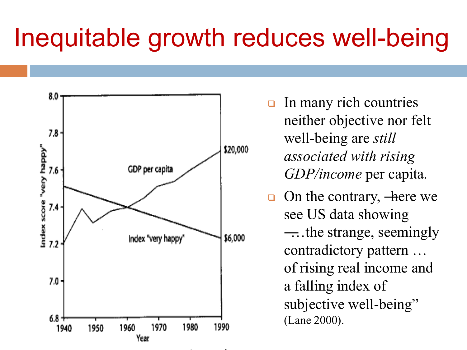### Inequitable growth reduces well-being



- $\Box$  In many rich countries neither objective nor felt well-being are *still associated with rising GDP/income* per capita*.*
- □ On the contrary, —here we see US data showing ―…the strange, seemingly contradictory pattern … of rising real income and a falling index of subjective well-being" (Lane 2000).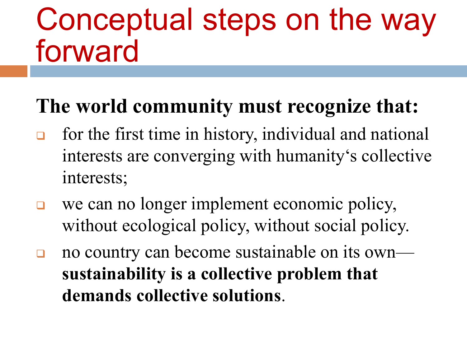## Conceptual steps on the way forward

#### **The world community must recognize that:**

- for the first time in history, individual and national interests are converging with humanity's collective interests;
- we can no longer implement economic policy, without ecological policy, without social policy.
- no country can become sustainable on its own **sustainability is a collective problem that demands collective solutions**.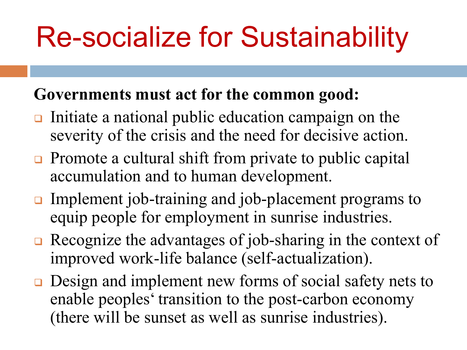## Re-socialize for Sustainability

#### **Governments must act for the common good:**

- Initiate a national public education campaign on the severity of the crisis and the need for decisive action.
- $\Box$  Promote a cultural shift from private to public capital accumulation and to human development.
- Implement job-training and job-placement programs to equip people for employment in sunrise industries.
- Recognize the advantages of job-sharing in the context of improved work-life balance (self-actualization).
- **□** Design and implement new forms of social safety nets to enable peoples' transition to the post-carbon economy (there will be sunset as well as sunrise industries).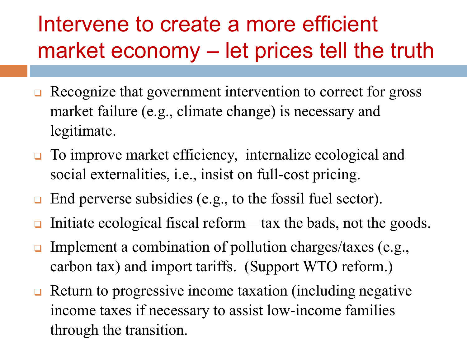#### Intervene to create a more efficient market economy – let prices tell the truth

- Recognize that government intervention to correct for gross market failure (e.g., climate change) is necessary and legitimate.
- □ To improve market efficiency, internalize ecological and social externalities, i.e., insist on full-cost pricing.
- $\Box$  End perverse subsidies (e.g., to the fossil fuel sector).
- Initiate ecological fiscal reform—tax the bads, not the goods.
- **Implement a combination of pollution charges/taxes (e.g.,** carbon tax) and import tariffs. (Support WTO reform.)
- $\Box$  Return to progressive income taxation (including negative income taxes if necessary to assist low-income families through the transition.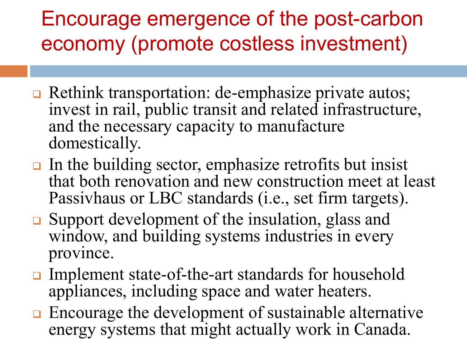#### Encourage emergence of the post-carbon economy (promote costless investment)

- **□** Rethink transportation: de-emphasize private autos; invest in rail, public transit and related infrastructure, and the necessary capacity to manufacture domestically.
- $\Box$  In the building sector, emphasize retrofits but insist that both renovation and new construction meet at least Passivhaus or LBC standards (i.e., set firm targets).
- **□** Support development of the insulation, glass and window, and building systems industries in every province.
- **□** Implement state-of-the-art standards for household appliances, including space and water heaters.
- **□** Encourage the development of sustainable alternative energy systems that might actually work in Canada.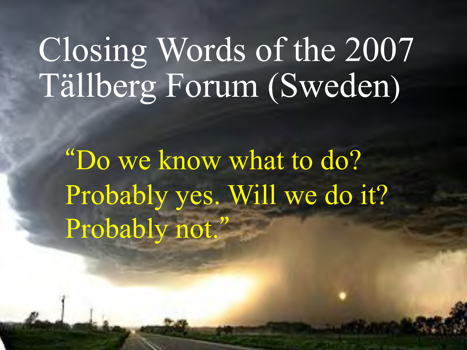# [Closing Words of the 2007](http://environmentdebate.files.wordpress.com/2007/04/extreme-weather.jpg)  Tällberg Forum (Sweden)

"Do we know what to do? Probably yes. Will we do it? Probably not."